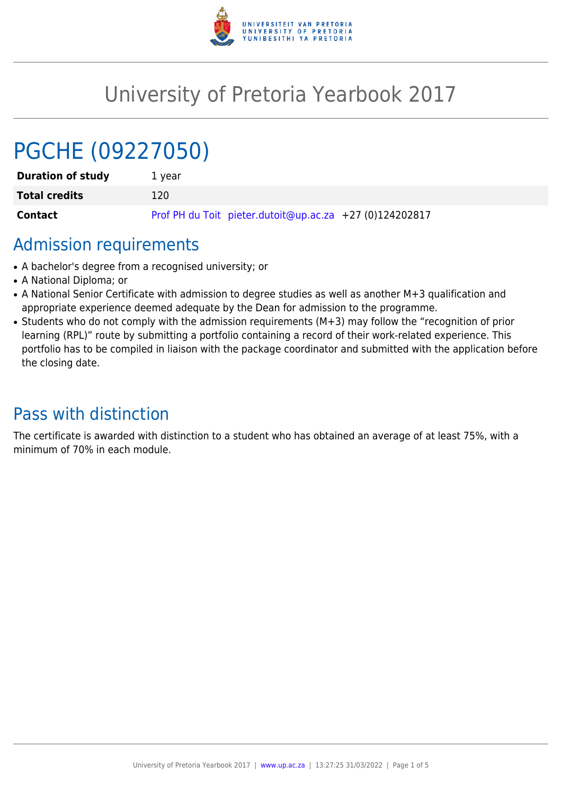

# University of Pretoria Yearbook 2017

# PGCHE (09227050)

| <b>Duration of study</b> | 1 vear                                                  |  |
|--------------------------|---------------------------------------------------------|--|
| <b>Total credits</b>     | 120.                                                    |  |
| <b>Contact</b>           | Prof PH du Toit pieter.dutoit@up.ac.za +27 (0)124202817 |  |

# Admission requirements

- A bachelor's degree from a recognised university; or
- A National Diploma: or
- A National Senior Certificate with admission to degree studies as well as another M+3 qualification and appropriate experience deemed adequate by the Dean for admission to the programme.
- Students who do not comply with the admission requirements (M+3) may follow the "recognition of prior learning (RPL)" route by submitting a portfolio containing a record of their work-related experience. This portfolio has to be compiled in liaison with the package coordinator and submitted with the application before the closing date.

# Pass with distinction

The certificate is awarded with distinction to a student who has obtained an average of at least 75%, with a minimum of 70% in each module.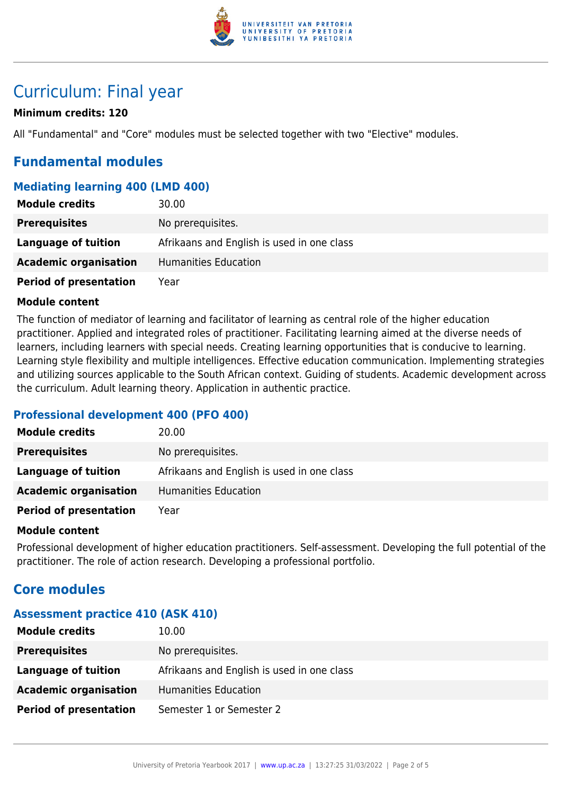

# Curriculum: Final year

# **Minimum credits: 120**

All "Fundamental" and "Core" modules must be selected together with two "Elective" modules.

# **Fundamental modules**

# **Mediating learning 400 (LMD 400)**

| <b>Module credits</b>         | 30.00                                      |
|-------------------------------|--------------------------------------------|
| <b>Prerequisites</b>          | No prerequisites.                          |
| Language of tuition           | Afrikaans and English is used in one class |
| <b>Academic organisation</b>  | Humanities Education                       |
| <b>Period of presentation</b> | Year                                       |

#### **Module content**

The function of mediator of learning and facilitator of learning as central role of the higher education practitioner. Applied and integrated roles of practitioner. Facilitating learning aimed at the diverse needs of learners, including learners with special needs. Creating learning opportunities that is conducive to learning. Learning style flexibility and multiple intelligences. Effective education communication. Implementing strategies and utilizing sources applicable to the South African context. Guiding of students. Academic development across the curriculum. Adult learning theory. Application in authentic practice.

# **Professional development 400 (PFO 400)**

| <b>Module credits</b>         | 20.00                                      |
|-------------------------------|--------------------------------------------|
| <b>Prerequisites</b>          | No prerequisites.                          |
| Language of tuition           | Afrikaans and English is used in one class |
| <b>Academic organisation</b>  | Humanities Education                       |
| <b>Period of presentation</b> | Year                                       |

#### **Module content**

Professional development of higher education practitioners. Self-assessment. Developing the full potential of the practitioner. The role of action research. Developing a professional portfolio.

# **Core modules**

#### **Assessment practice 410 (ASK 410)**

| <b>Module credits</b>         | 10.00                                      |  |
|-------------------------------|--------------------------------------------|--|
| <b>Prerequisites</b>          | No prerequisites.                          |  |
| Language of tuition           | Afrikaans and English is used in one class |  |
| <b>Academic organisation</b>  | Humanities Education                       |  |
| <b>Period of presentation</b> | Semester 1 or Semester 2                   |  |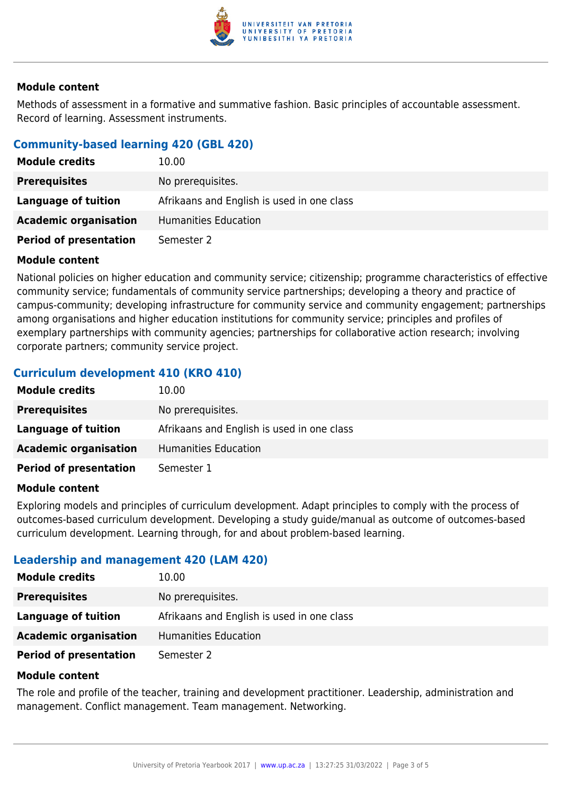

#### **Module content**

Methods of assessment in a formative and summative fashion. Basic principles of accountable assessment. Record of learning. Assessment instruments.

### **Community-based learning 420 (GBL 420)**

| <b>Module credits</b>         | 10.00                                      |  |
|-------------------------------|--------------------------------------------|--|
| <b>Prerequisites</b>          | No prerequisites.                          |  |
| Language of tuition           | Afrikaans and English is used in one class |  |
| <b>Academic organisation</b>  | <b>Humanities Education</b>                |  |
| <b>Period of presentation</b> | Semester 2                                 |  |

#### **Module content**

National policies on higher education and community service; citizenship; programme characteristics of effective community service; fundamentals of community service partnerships; developing a theory and practice of campus-community; developing infrastructure for community service and community engagement; partnerships among organisations and higher education institutions for community service; principles and profiles of exemplary partnerships with community agencies; partnerships for collaborative action research; involving corporate partners; community service project.

# **Curriculum development 410 (KRO 410)**

| <b>Module credits</b>         | 10.00                                      |  |
|-------------------------------|--------------------------------------------|--|
| <b>Prerequisites</b>          | No prerequisites.                          |  |
| Language of tuition           | Afrikaans and English is used in one class |  |
| <b>Academic organisation</b>  | Humanities Education                       |  |
| <b>Period of presentation</b> | Semester 1                                 |  |

#### **Module content**

Exploring models and principles of curriculum development. Adapt principles to comply with the process of outcomes-based curriculum development. Developing a study guide/manual as outcome of outcomes-based curriculum development. Learning through, for and about problem-based learning.

#### **Leadership and management 420 (LAM 420)**

| <b>Module credits</b>         | 10.00                                      |  |
|-------------------------------|--------------------------------------------|--|
| <b>Prerequisites</b>          | No prerequisites.                          |  |
| Language of tuition           | Afrikaans and English is used in one class |  |
| <b>Academic organisation</b>  | <b>Humanities Education</b>                |  |
| <b>Period of presentation</b> | Semester 2                                 |  |

#### **Module content**

The role and profile of the teacher, training and development practitioner. Leadership, administration and management. Conflict management. Team management. Networking.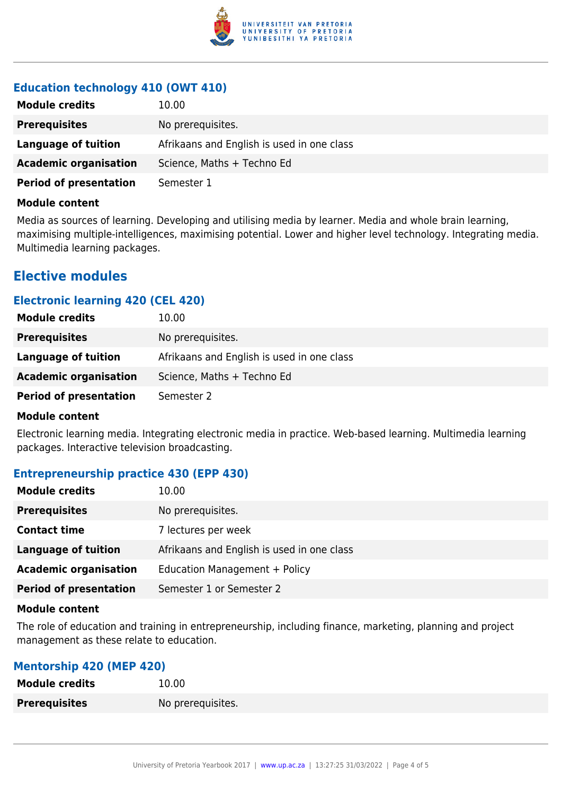

# **Education technology 410 (OWT 410)**

| <b>Module credits</b>         | 10.00                                      |  |
|-------------------------------|--------------------------------------------|--|
| <b>Prerequisites</b>          | No prerequisites.                          |  |
| Language of tuition           | Afrikaans and English is used in one class |  |
| <b>Academic organisation</b>  | Science, Maths + Techno Ed                 |  |
| <b>Period of presentation</b> | Semester 1                                 |  |

#### **Module content**

Media as sources of learning. Developing and utilising media by learner. Media and whole brain learning, maximising multiple-intelligences, maximising potential. Lower and higher level technology. Integrating media. Multimedia learning packages.

# **Elective modules**

# **Electronic learning 420 (CEL 420)**

| <b>Module credits</b>         | 10.00                                      |  |
|-------------------------------|--------------------------------------------|--|
| <b>Prerequisites</b>          | No prerequisites.                          |  |
| Language of tuition           | Afrikaans and English is used in one class |  |
| <b>Academic organisation</b>  | Science, Maths + Techno Ed                 |  |
| <b>Period of presentation</b> | Semester 2                                 |  |

#### **Module content**

Electronic learning media. Integrating electronic media in practice. Web-based learning. Multimedia learning packages. Interactive television broadcasting.

# **Entrepreneurship practice 430 (EPP 430)**

| <b>Module credits</b>         | 10.00                                      |  |
|-------------------------------|--------------------------------------------|--|
| <b>Prerequisites</b>          | No prerequisites.                          |  |
| <b>Contact time</b>           | 7 lectures per week                        |  |
| <b>Language of tuition</b>    | Afrikaans and English is used in one class |  |
| <b>Academic organisation</b>  | Education Management + Policy              |  |
| <b>Period of presentation</b> | Semester 1 or Semester 2                   |  |

#### **Module content**

The role of education and training in entrepreneurship, including finance, marketing, planning and project management as these relate to education.

# **Mentorship 420 (MEP 420)**

| <b>Module credits</b> | 10.00             |
|-----------------------|-------------------|
| <b>Prerequisites</b>  | No prerequisites. |